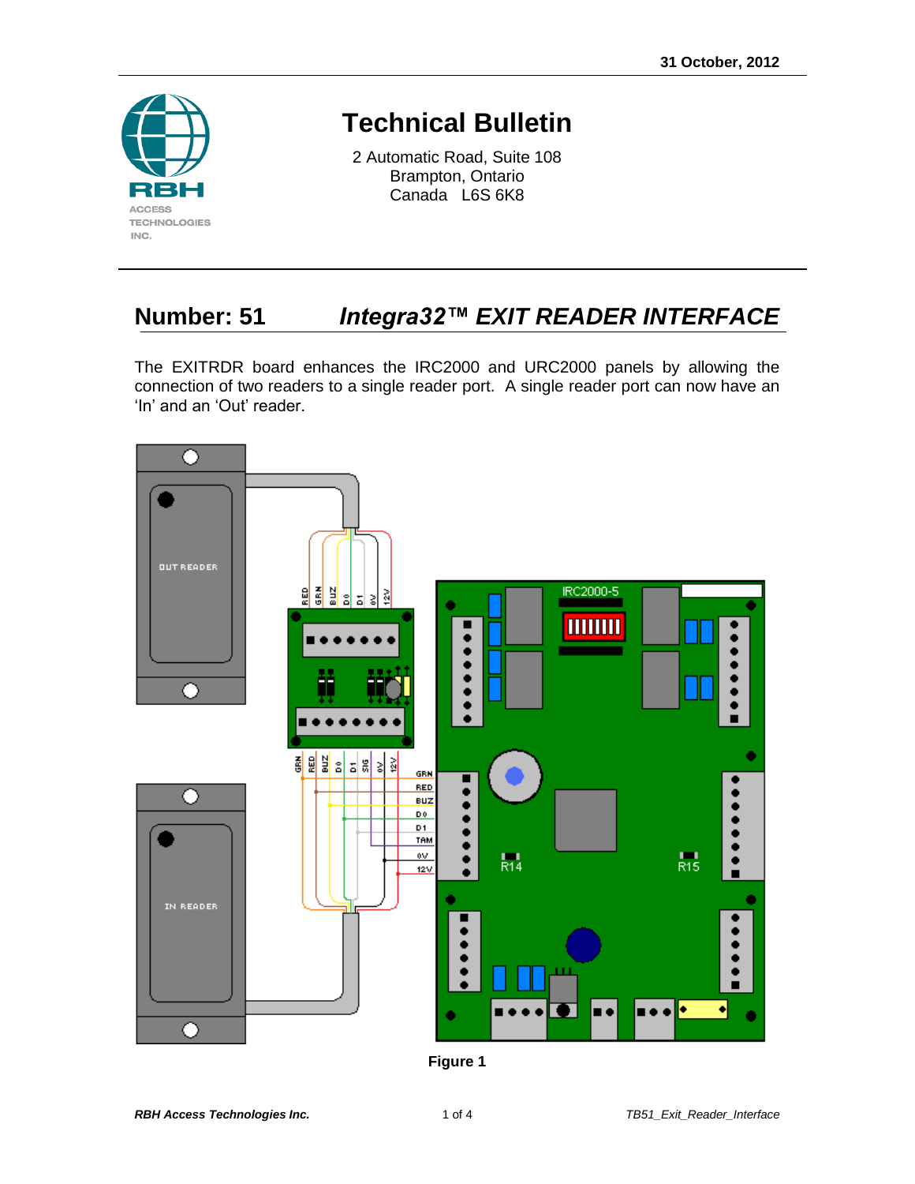

## **Technical Bulletin**

2 Automatic Road, Suite 108 Brampton, Ontario Canada L6S 6K8

## **Number: 51** *Integra32™ EXIT READER INTERFACE*

The EXITRDR board enhances the IRC2000 and URC2000 panels by allowing the connection of two readers to a single reader port. A single reader port can now have an 'In' and an 'Out' reader.



**Figure 1**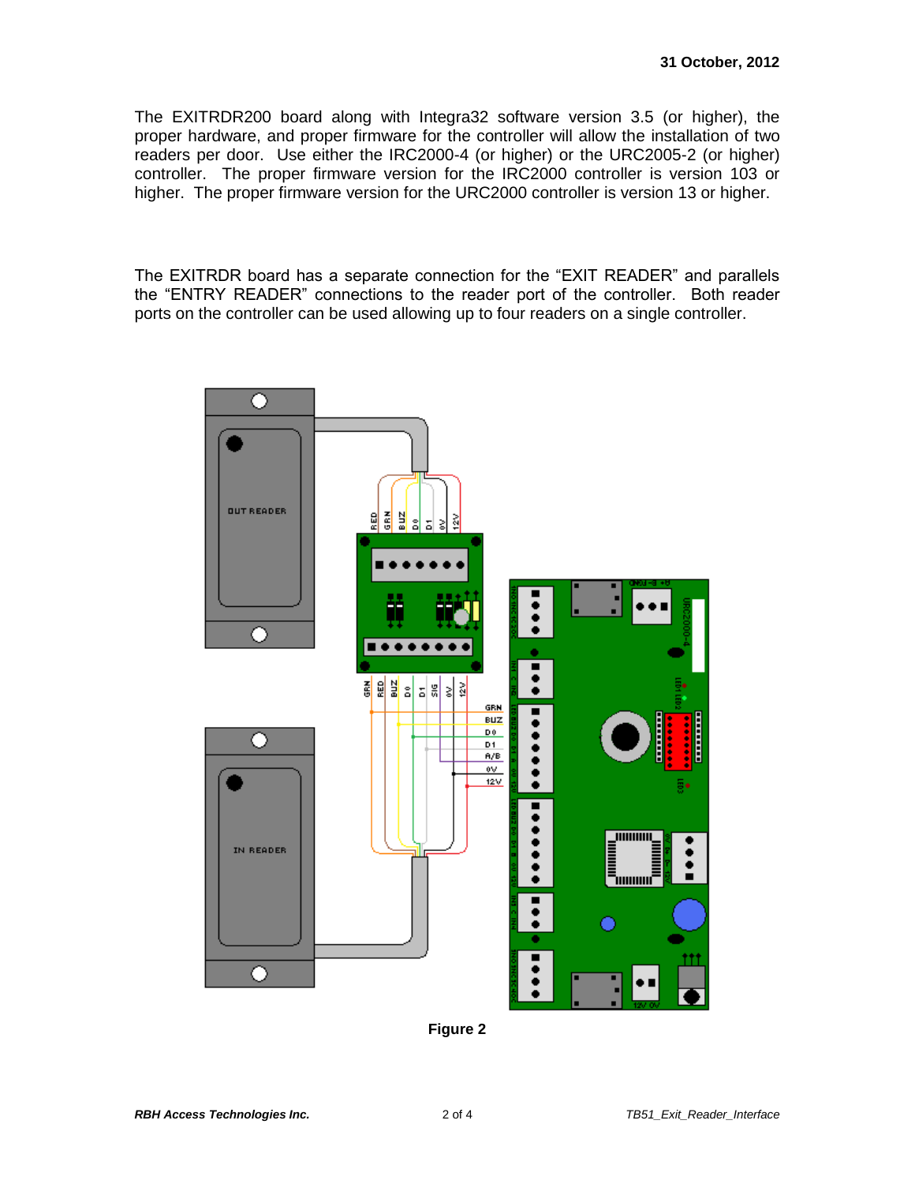The EXITRDR200 board along with Integra32 software version 3.5 (or higher), the proper hardware, and proper firmware for the controller will allow the installation of two readers per door. Use either the IRC2000-4 (or higher) or the URC2005-2 (or higher) controller. The proper firmware version for the IRC2000 controller is version 103 or higher. The proper firmware version for the URC2000 controller is version 13 or higher.

The EXITRDR board has a separate connection for the "EXIT READER" and parallels the "ENTRY READER" connections to the reader port of the controller. Both reader ports on the controller can be used allowing up to four readers on a single controller.



**Figure 2**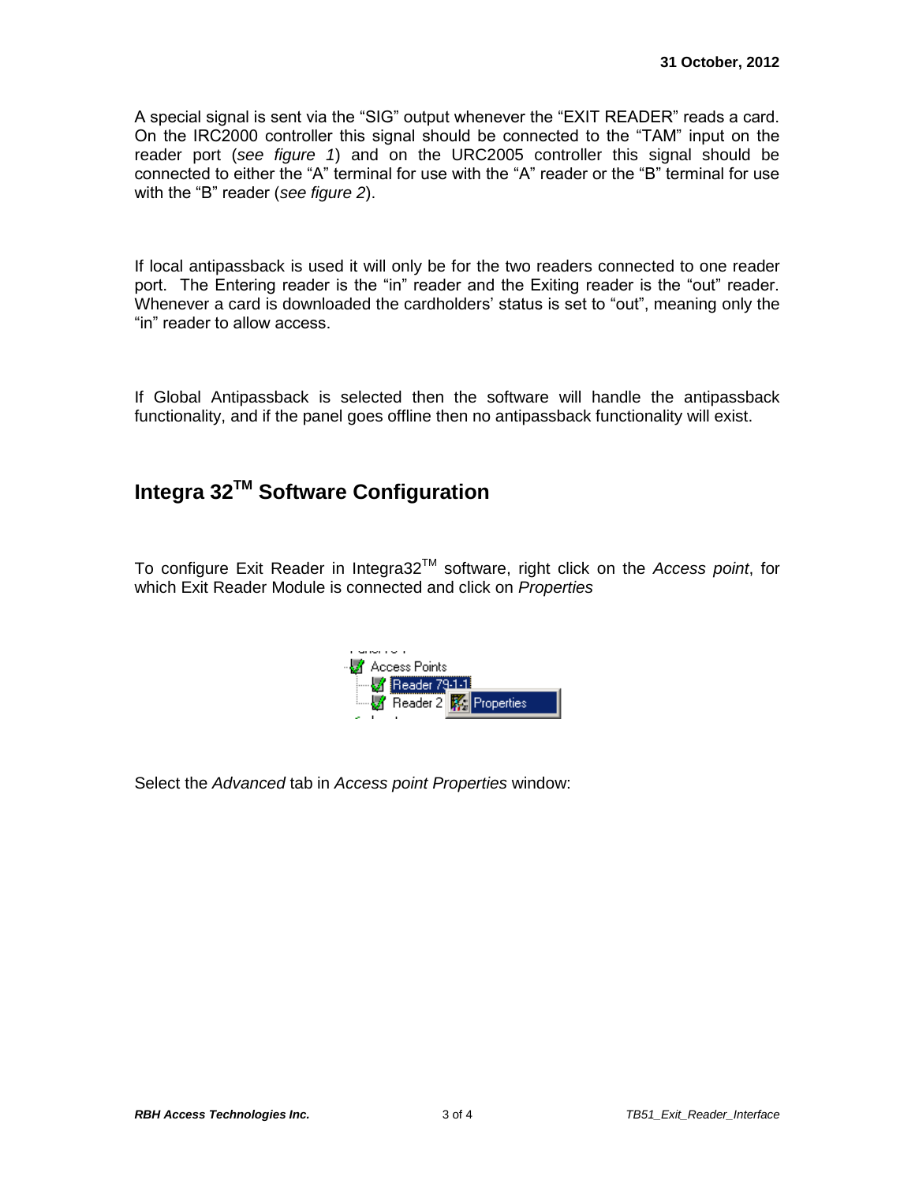A special signal is sent via the "SIG" output whenever the "EXIT READER" reads a card. On the IRC2000 controller this signal should be connected to the "TAM" input on the reader port (*see figure 1*) and on the URC2005 controller this signal should be connected to either the "A" terminal for use with the "A" reader or the "B" terminal for use with the "B" reader (*see figure 2*).

If local antipassback is used it will only be for the two readers connected to one reader port. The Entering reader is the "in" reader and the Exiting reader is the "out" reader. Whenever a card is downloaded the cardholders' status is set to "out", meaning only the "in" reader to allow access.

If Global Antipassback is selected then the software will handle the antipassback functionality, and if the panel goes offline then no antipassback functionality will exist.

## **Integra 32TM Software Configuration**

To configure Exit Reader in Integra32TM software, right click on the *Access point*, for which Exit Reader Module is connected and click on *Properties*



Select the *Advanced* tab in *Access point Properties* window: